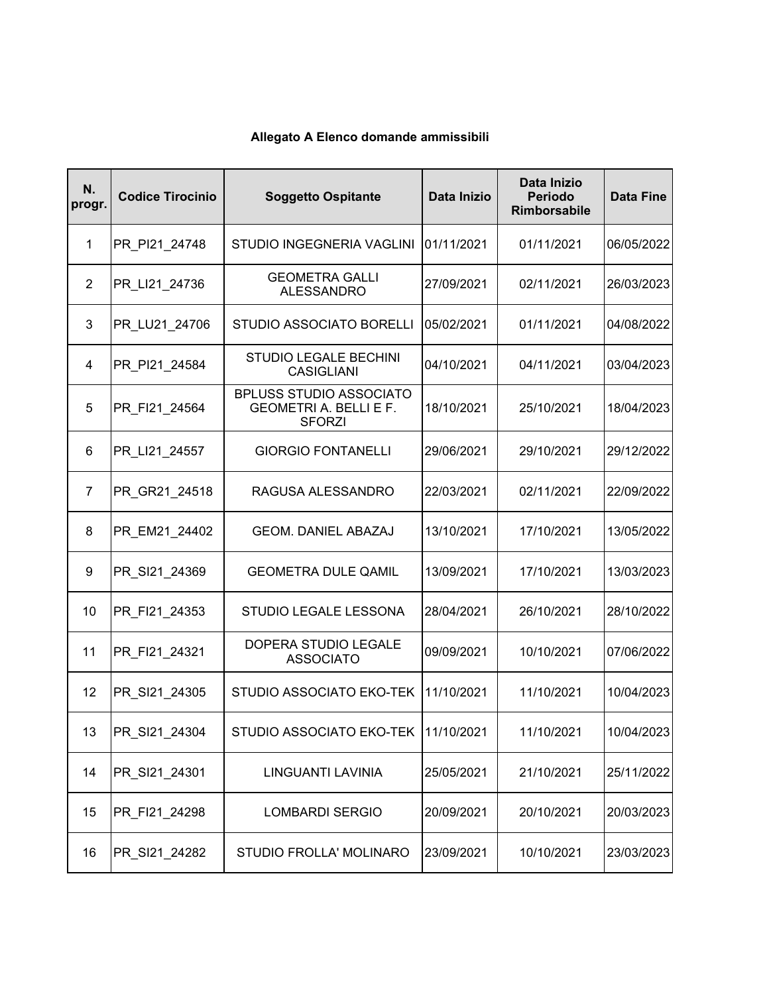| N.<br>progr.   | <b>Codice Tirocinio</b> | <b>Soggetto Ospitante</b>                                                        | Data Inizio | Data Inizio<br><b>Periodo</b><br><b>Rimborsabile</b> | <b>Data Fine</b> |
|----------------|-------------------------|----------------------------------------------------------------------------------|-------------|------------------------------------------------------|------------------|
| $\mathbf{1}$   | PR PI21 24748           | STUDIO INGEGNERIA VAGLINI                                                        | 01/11/2021  | 01/11/2021                                           | 06/05/2022       |
| $\overline{2}$ | PR_LI21_24736           | <b>GEOMETRA GALLI</b><br><b>ALESSANDRO</b>                                       | 27/09/2021  | 02/11/2021                                           | 26/03/2023       |
| 3              | PR_LU21_24706           | <b>STUDIO ASSOCIATO BORELLI</b>                                                  | 05/02/2021  | 01/11/2021                                           | 04/08/2022       |
| 4              | PR PI21 24584           | <b>STUDIO LEGALE BECHINI</b><br><b>CASIGLIANI</b>                                | 04/10/2021  | 04/11/2021                                           | 03/04/2023       |
| 5              | PR FI21 24564           | <b>BPLUSS STUDIO ASSOCIATO</b><br><b>GEOMETRI A. BELLI E F.</b><br><b>SFORZI</b> | 18/10/2021  | 25/10/2021                                           | 18/04/2023       |
| 6              | PR_LI21_24557           | <b>GIORGIO FONTANELLI</b>                                                        | 29/06/2021  | 29/10/2021                                           | 29/12/2022       |
| $\overline{7}$ | PR_GR21_24518           | RAGUSA ALESSANDRO                                                                | 22/03/2021  | 02/11/2021                                           | 22/09/2022       |
| 8              | PR EM21 24402           | <b>GEOM. DANIEL ABAZAJ</b>                                                       | 13/10/2021  | 17/10/2021                                           | 13/05/2022       |
| 9              | PR SI21 24369           | <b>GEOMETRA DULE QAMIL</b>                                                       | 13/09/2021  | 17/10/2021                                           | 13/03/2023       |
| 10             | PR_FI21_24353           | STUDIO LEGALE LESSONA                                                            | 28/04/2021  | 26/10/2021                                           | 28/10/2022       |
| 11             | PR_FI21_24321           | DOPERA STUDIO LEGALE<br><b>ASSOCIATO</b>                                         | 09/09/2021  | 10/10/2021                                           | 07/06/2022       |
| 12             | PR SI21 24305           | STUDIO ASSOCIATO EKO-TEK                                                         | 11/10/2021  | 11/10/2021                                           | 10/04/2023       |
| 13             | PR SI21 24304           | STUDIO ASSOCIATO EKO-TEK   11/10/2021                                            |             | 11/10/2021                                           | 10/04/2023       |
| 14             | PR_SI21_24301           | LINGUANTI LAVINIA                                                                | 25/05/2021  | 21/10/2021                                           | 25/11/2022       |
| 15             | PR_FI21_24298           | <b>LOMBARDI SERGIO</b>                                                           | 20/09/2021  | 20/10/2021                                           | 20/03/2023       |
| 16             | PR_SI21_24282           | STUDIO FROLLA' MOLINARO                                                          | 23/09/2021  | 10/10/2021                                           | 23/03/2023       |

## **Allegato A Elenco domande ammissibili**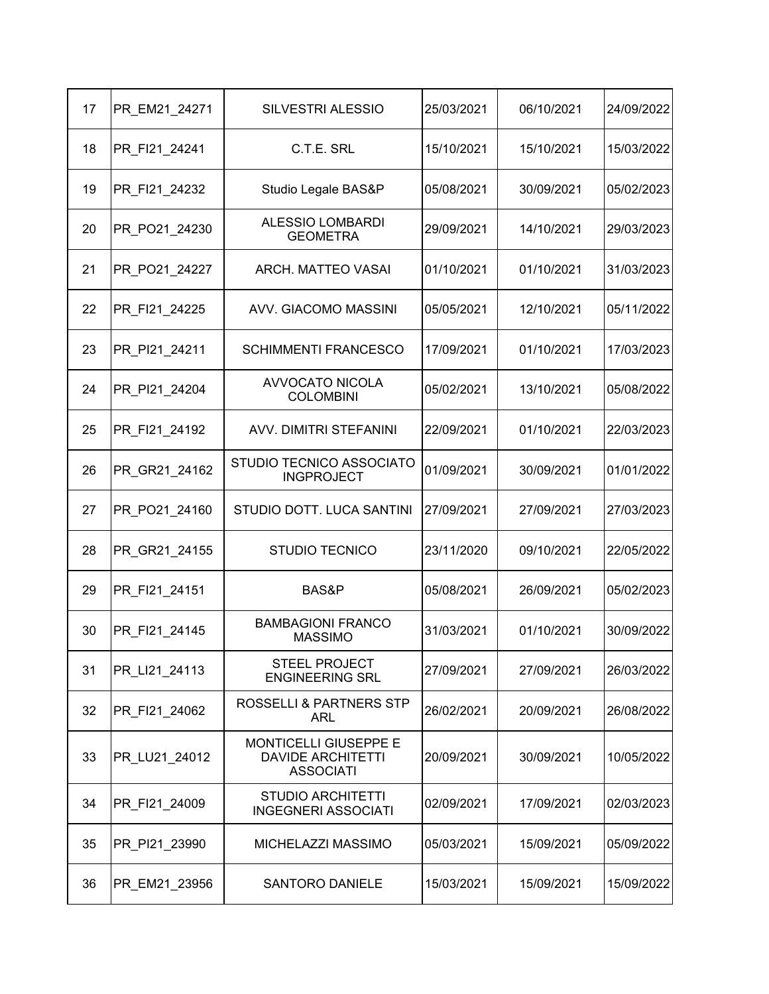| 17 | PR_EM21_24271 | <b>SILVESTRI ALESSIO</b>                                              | 25/03/2021 | 06/10/2021 | 24/09/2022 |
|----|---------------|-----------------------------------------------------------------------|------------|------------|------------|
| 18 | PR FI21 24241 | C.T.E. SRL                                                            | 15/10/2021 | 15/10/2021 | 15/03/2022 |
| 19 | PR_FI21_24232 | Studio Legale BAS&P                                                   | 05/08/2021 | 30/09/2021 | 05/02/2023 |
| 20 | PR_PO21_24230 | <b>ALESSIO LOMBARDI</b><br><b>GEOMETRA</b>                            | 29/09/2021 | 14/10/2021 | 29/03/2023 |
| 21 | PR PO21 24227 | ARCH. MATTEO VASAI                                                    | 01/10/2021 | 01/10/2021 | 31/03/2023 |
| 22 | PR_FI21_24225 | AVV. GIACOMO MASSINI                                                  | 05/05/2021 | 12/10/2021 | 05/11/2022 |
| 23 | PR PI21 24211 | <b>SCHIMMENTI FRANCESCO</b>                                           | 17/09/2021 | 01/10/2021 | 17/03/2023 |
| 24 | PR PI21 24204 | <b>AVVOCATO NICOLA</b><br><b>COLOMBINI</b>                            | 05/02/2021 | 13/10/2021 | 05/08/2022 |
| 25 | PR_FI21_24192 | AVV. DIMITRI STEFANINI                                                | 22/09/2021 | 01/10/2021 | 22/03/2023 |
| 26 | PR GR21 24162 | STUDIO TECNICO ASSOCIATO<br><b>INGPROJECT</b>                         | 01/09/2021 | 30/09/2021 | 01/01/2022 |
| 27 | PR PO21 24160 | STUDIO DOTT. LUCA SANTINI                                             | 27/09/2021 | 27/09/2021 | 27/03/2023 |
| 28 | PR_GR21_24155 | <b>STUDIO TECNICO</b>                                                 | 23/11/2020 | 09/10/2021 | 22/05/2022 |
| 29 | PR FI21 24151 | BAS&P                                                                 | 05/08/2021 | 26/09/2021 | 05/02/2023 |
| 30 | PR FI21 24145 | <b>BAMBAGIONI FRANCO</b><br><b>MASSIMO</b>                            | 31/03/2021 | 01/10/2021 | 30/09/2022 |
| 31 | PR LI21 24113 | <b>STEEL PROJECT</b><br><b>ENGINEERING SRL</b>                        | 27/09/2021 | 27/09/2021 | 26/03/2022 |
| 32 | PR FI21 24062 | ROSSELLI & PARTNERS STP<br>ARL                                        | 26/02/2021 | 20/09/2021 | 26/08/2022 |
| 33 | PR LU21 24012 | MONTICELLI GIUSEPPE E<br><b>DAVIDE ARCHITETTI</b><br><b>ASSOCIATI</b> | 20/09/2021 | 30/09/2021 | 10/05/2022 |
| 34 | PR FI21 24009 | <b>STUDIO ARCHITETTI</b><br><b>INGEGNERI ASSOCIATI</b>                | 02/09/2021 | 17/09/2021 | 02/03/2023 |
| 35 | PR_PI21_23990 | MICHELAZZI MASSIMO                                                    | 05/03/2021 | 15/09/2021 | 05/09/2022 |
| 36 | PR_EM21_23956 | <b>SANTORO DANIELE</b>                                                | 15/03/2021 | 15/09/2021 | 15/09/2022 |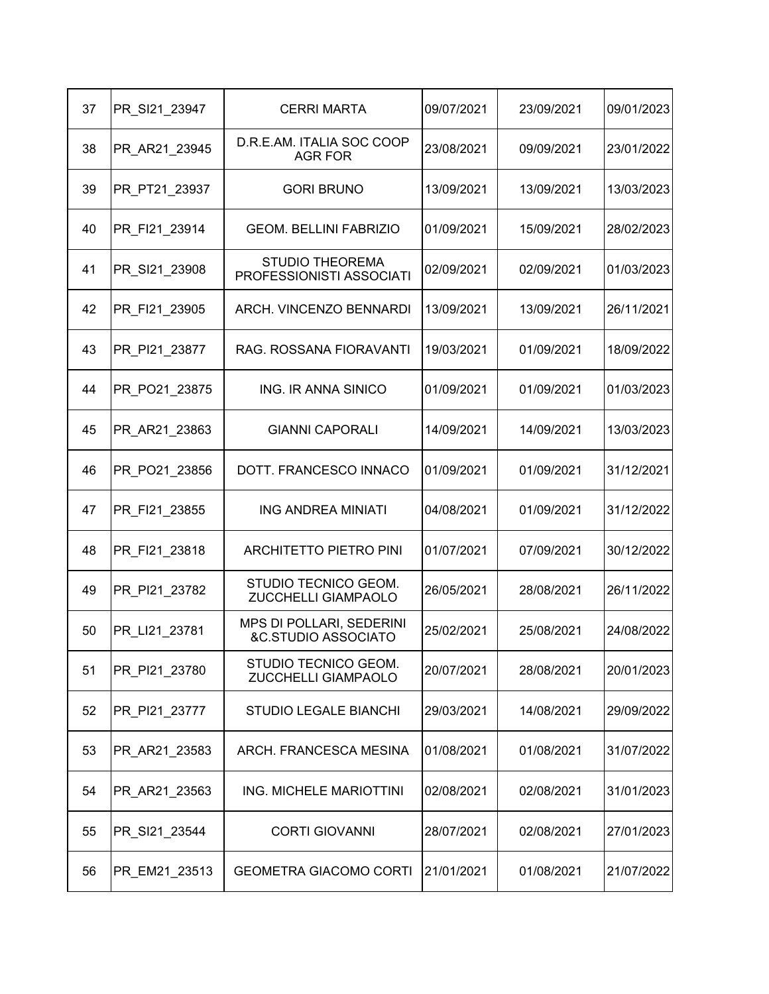| 37 | PR_SI21_23947 | <b>CERRI MARTA</b>                                         | 09/07/2021 | 23/09/2021 | 09/01/2023 |
|----|---------------|------------------------------------------------------------|------------|------------|------------|
| 38 | PR AR21 23945 | D.R.E.AM. ITALIA SOC COOP<br><b>AGR FOR</b>                | 23/08/2021 | 09/09/2021 | 23/01/2022 |
| 39 | PR_PT21_23937 | <b>GORI BRUNO</b>                                          | 13/09/2021 | 13/09/2021 | 13/03/2023 |
| 40 | PR_FI21_23914 | <b>GEOM. BELLINI FABRIZIO</b>                              | 01/09/2021 | 15/09/2021 | 28/02/2023 |
| 41 | PR_SI21_23908 | <b>STUDIO THEOREMA</b><br>PROFESSIONISTI ASSOCIATI         | 02/09/2021 | 02/09/2021 | 01/03/2023 |
| 42 | PR_FI21_23905 | ARCH. VINCENZO BENNARDI                                    | 13/09/2021 | 13/09/2021 | 26/11/2021 |
| 43 | PR PI21 23877 | RAG. ROSSANA FIORAVANTI                                    | 19/03/2021 | 01/09/2021 | 18/09/2022 |
| 44 | PR PO21 23875 | ING. IR ANNA SINICO                                        | 01/09/2021 | 01/09/2021 | 01/03/2023 |
| 45 | PR_AR21_23863 | <b>GIANNI CAPORALI</b>                                     | 14/09/2021 | 14/09/2021 | 13/03/2023 |
| 46 | PR PO21 23856 | DOTT. FRANCESCO INNACO                                     | 01/09/2021 | 01/09/2021 | 31/12/2021 |
| 47 | PR FI21 23855 | <b>ING ANDREA MINIATI</b>                                  | 04/08/2021 | 01/09/2021 | 31/12/2022 |
| 48 | PR_FI21_23818 | <b>ARCHITETTO PIETRO PINI</b>                              | 01/07/2021 | 07/09/2021 | 30/12/2022 |
| 49 | PR PI21 23782 | STUDIO TECNICO GEOM.<br>ZUCCHELLI GIAMPAOLO                | 26/05/2021 | 28/08/2021 | 26/11/2022 |
| 50 | PR LI21 23781 | MPS DI POLLARI, SEDERINI<br><b>&amp;C.STUDIO ASSOCIATO</b> | 25/02/2021 | 25/08/2021 | 24/08/2022 |
| 51 | PR_PI21_23780 | STUDIO TECNICO GEOM.<br>ZUCCHELLI GIAMPAOLO                | 20/07/2021 | 28/08/2021 | 20/01/2023 |
| 52 | PR_PI21_23777 | <b>STUDIO LEGALE BIANCHI</b>                               | 29/03/2021 | 14/08/2021 | 29/09/2022 |
| 53 | PR AR21 23583 | ARCH. FRANCESCA MESINA                                     | 01/08/2021 | 01/08/2021 | 31/07/2022 |
| 54 | PR_AR21_23563 | ING. MICHELE MARIOTTINI                                    | 02/08/2021 | 02/08/2021 | 31/01/2023 |
| 55 | PR_SI21_23544 | <b>CORTI GIOVANNI</b>                                      | 28/07/2021 | 02/08/2021 | 27/01/2023 |
| 56 | PR_EM21_23513 | <b>GEOMETRA GIACOMO CORTI</b>                              | 21/01/2021 | 01/08/2021 | 21/07/2022 |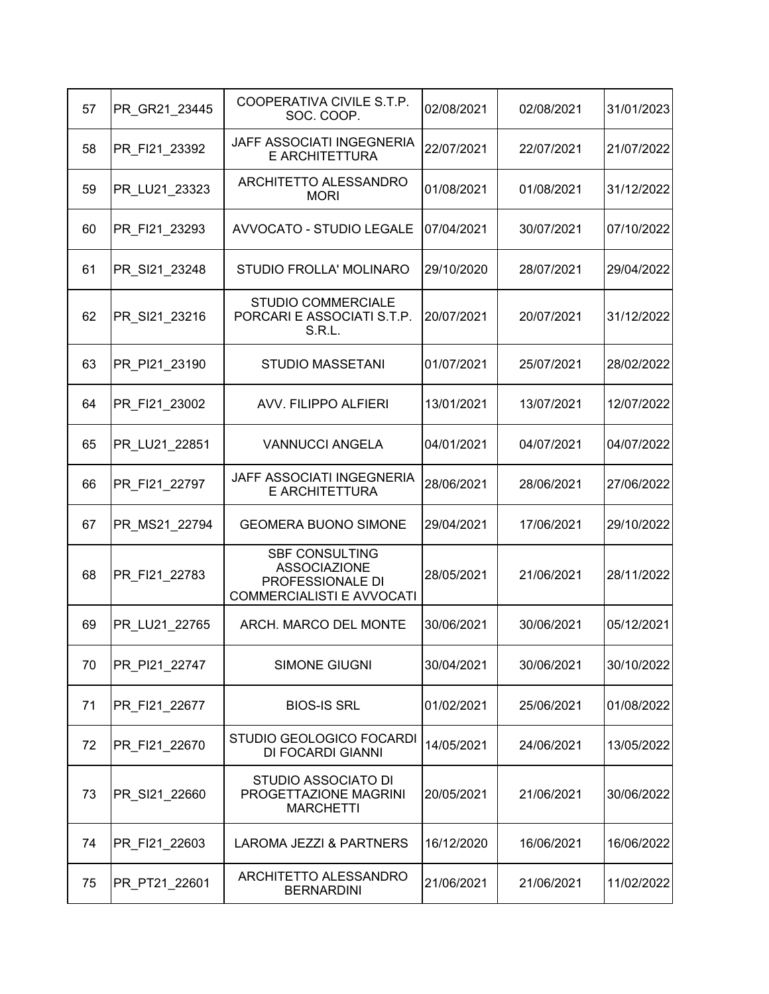| 57 | PR GR21 23445 | COOPERATIVA CIVILE S.T.P.<br>SOC. COOP.                                                              | 02/08/2021 | 02/08/2021 | 31/01/2023 |
|----|---------------|------------------------------------------------------------------------------------------------------|------------|------------|------------|
| 58 | PR FI21 23392 | JAFF ASSOCIATI INGEGNERIA<br><b>E ARCHITETTURA</b>                                                   | 22/07/2021 | 22/07/2021 | 21/07/2022 |
| 59 | PR LU21 23323 | ARCHITETTO ALESSANDRO<br><b>MORI</b>                                                                 | 01/08/2021 | 01/08/2021 | 31/12/2022 |
| 60 | PR_FI21_23293 | <b>AVVOCATO - STUDIO LEGALE</b>                                                                      | 07/04/2021 | 30/07/2021 | 07/10/2022 |
| 61 | PR_SI21_23248 | STUDIO FROLLA' MOLINARO                                                                              | 29/10/2020 | 28/07/2021 | 29/04/2022 |
| 62 | PR SI21 23216 | <b>STUDIO COMMERCIALE</b><br>PORCARI E ASSOCIATI S.T.P.<br>S.R.L.                                    | 20/07/2021 | 20/07/2021 | 31/12/2022 |
| 63 | PR PI21 23190 | <b>STUDIO MASSETANI</b>                                                                              | 01/07/2021 | 25/07/2021 | 28/02/2022 |
| 64 | PR FI21 23002 | <b>AVV. FILIPPO ALFIERI</b>                                                                          | 13/01/2021 | 13/07/2021 | 12/07/2022 |
| 65 | PR LU21 22851 | <b>VANNUCCI ANGELA</b>                                                                               | 04/01/2021 | 04/07/2021 | 04/07/2022 |
| 66 | PR FI21 22797 | JAFF ASSOCIATI INGEGNERIA<br>E ARCHITETTURA                                                          | 28/06/2021 | 28/06/2021 | 27/06/2022 |
| 67 | PR_MS21_22794 | <b>GEOMERA BUONO SIMONE</b>                                                                          | 29/04/2021 | 17/06/2021 | 29/10/2022 |
| 68 | PR_FI21_22783 | <b>SBF CONSULTING</b><br><b>ASSOCIAZIONE</b><br>PROFESSIONALE DI<br><b>COMMERCIALISTI E AVVOCATI</b> | 28/05/2021 | 21/06/2021 | 28/11/2022 |
| 69 | PR LU21 22765 | ARCH. MARCO DEL MONTE                                                                                | 30/06/2021 | 30/06/2021 | 05/12/2021 |
| 70 | PR PI21 22747 | SIMONE GIUGNI                                                                                        | 30/04/2021 | 30/06/2021 | 30/10/2022 |
| 71 | PR_FI21_22677 | <b>BIOS-IS SRL</b>                                                                                   | 01/02/2021 | 25/06/2021 | 01/08/2022 |
| 72 | PR FI21 22670 | STUDIO GEOLOGICO FOCARDI<br>DI FOCARDI GIANNI                                                        | 14/05/2021 | 24/06/2021 | 13/05/2022 |
| 73 | PR_SI21_22660 | <b>STUDIO ASSOCIATO DI</b><br>PROGETTAZIONE MAGRINI<br><b>MARCHETTI</b>                              | 20/05/2021 | 21/06/2021 | 30/06/2022 |
| 74 | PR_FI21_22603 | LAROMA JEZZI & PARTNERS                                                                              | 16/12/2020 | 16/06/2021 | 16/06/2022 |
| 75 | PR_PT21_22601 | ARCHITETTO ALESSANDRO<br><b>BERNARDINI</b>                                                           | 21/06/2021 | 21/06/2021 | 11/02/2022 |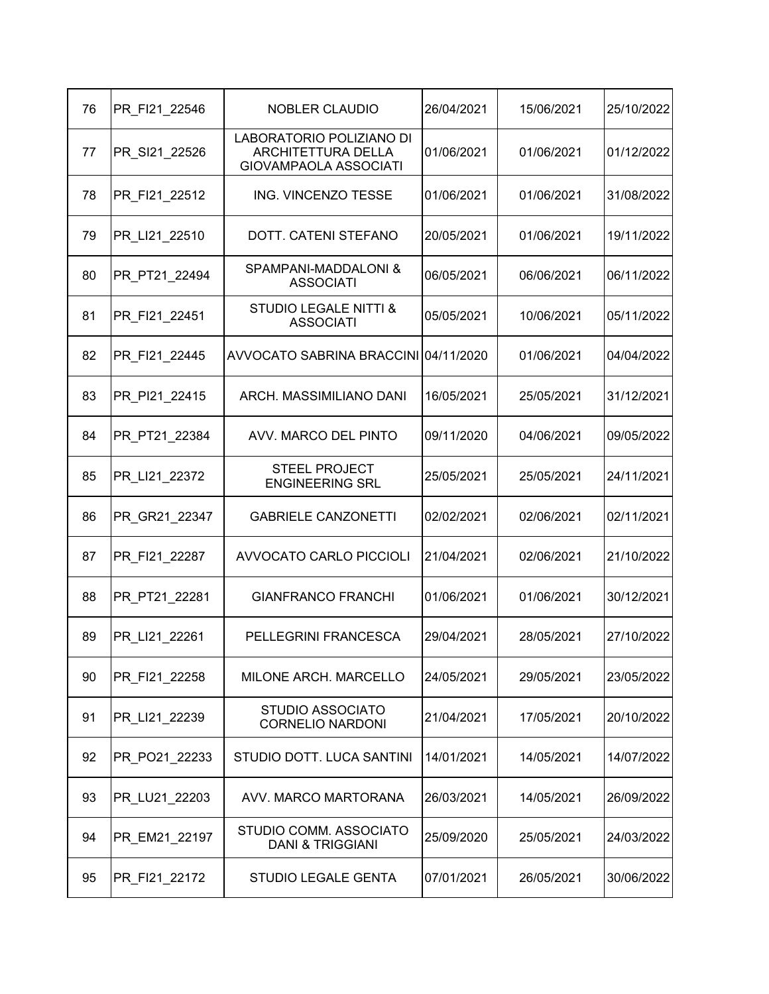| 76 | PR FI21 22546 | <b>NOBLER CLAUDIO</b>                                                                 | 26/04/2021 | 15/06/2021 | 25/10/2022 |
|----|---------------|---------------------------------------------------------------------------------------|------------|------------|------------|
| 77 | PR_SI21_22526 | LABORATORIO POLIZIANO DI<br><b>ARCHITETTURA DELLA</b><br><b>GIOVAMPAOLA ASSOCIATI</b> | 01/06/2021 | 01/06/2021 | 01/12/2022 |
| 78 | PR FI21 22512 | ING. VINCENZO TESSE                                                                   | 01/06/2021 | 01/06/2021 | 31/08/2022 |
| 79 | PR_LI21_22510 | DOTT. CATENI STEFANO                                                                  | 20/05/2021 | 01/06/2021 | 19/11/2022 |
| 80 | PR PT21 22494 | SPAMPANI-MADDALONI &<br><b>ASSOCIATI</b>                                              | 06/05/2021 | 06/06/2021 | 06/11/2022 |
| 81 | PR FI21 22451 | <b>STUDIO LEGALE NITTI &amp;</b><br><b>ASSOCIATI</b>                                  | 05/05/2021 | 10/06/2021 | 05/11/2022 |
| 82 | PR FI21 22445 | AVVOCATO SABRINA BRACCINI 04/11/2020                                                  |            | 01/06/2021 | 04/04/2022 |
| 83 | PR PI21 22415 | ARCH. MASSIMILIANO DANI                                                               | 16/05/2021 | 25/05/2021 | 31/12/2021 |
| 84 | PR PT21 22384 | AVV. MARCO DEL PINTO                                                                  | 09/11/2020 | 04/06/2021 | 09/05/2022 |
| 85 | PR LI21 22372 | <b>STEEL PROJECT</b><br><b>ENGINEERING SRL</b>                                        | 25/05/2021 | 25/05/2021 | 24/11/2021 |
| 86 | PR GR21 22347 | <b>GABRIELE CANZONETTI</b>                                                            | 02/02/2021 | 02/06/2021 | 02/11/2021 |
| 87 | PR_FI21_22287 | <b>AVVOCATO CARLO PICCIOLI</b>                                                        | 21/04/2021 | 02/06/2021 | 21/10/2022 |
| 88 | PR_PT21_22281 | <b>GIANFRANCO FRANCHI</b>                                                             | 01/06/2021 | 01/06/2021 | 30/12/2021 |
| 89 | PR_LI21_22261 | PELLEGRINI FRANCESCA                                                                  | 29/04/2021 | 28/05/2021 | 27/10/2022 |
| 90 | PR_FI21_22258 | MILONE ARCH. MARCELLO                                                                 | 24/05/2021 | 29/05/2021 | 23/05/2022 |
| 91 | PR LI21 22239 | <b>STUDIO ASSOCIATO</b><br><b>CORNELIO NARDONI</b>                                    | 21/04/2021 | 17/05/2021 | 20/10/2022 |
| 92 | PR PO21 22233 | STUDIO DOTT. LUCA SANTINI                                                             | 14/01/2021 | 14/05/2021 | 14/07/2022 |
| 93 | PR_LU21_22203 | AVV. MARCO MARTORANA                                                                  | 26/03/2021 | 14/05/2021 | 26/09/2022 |
| 94 | PR_EM21_22197 | STUDIO COMM. ASSOCIATO<br><b>DANI &amp; TRIGGIANI</b>                                 | 25/09/2020 | 25/05/2021 | 24/03/2022 |
| 95 | PR_FI21_22172 | <b>STUDIO LEGALE GENTA</b>                                                            | 07/01/2021 | 26/05/2021 | 30/06/2022 |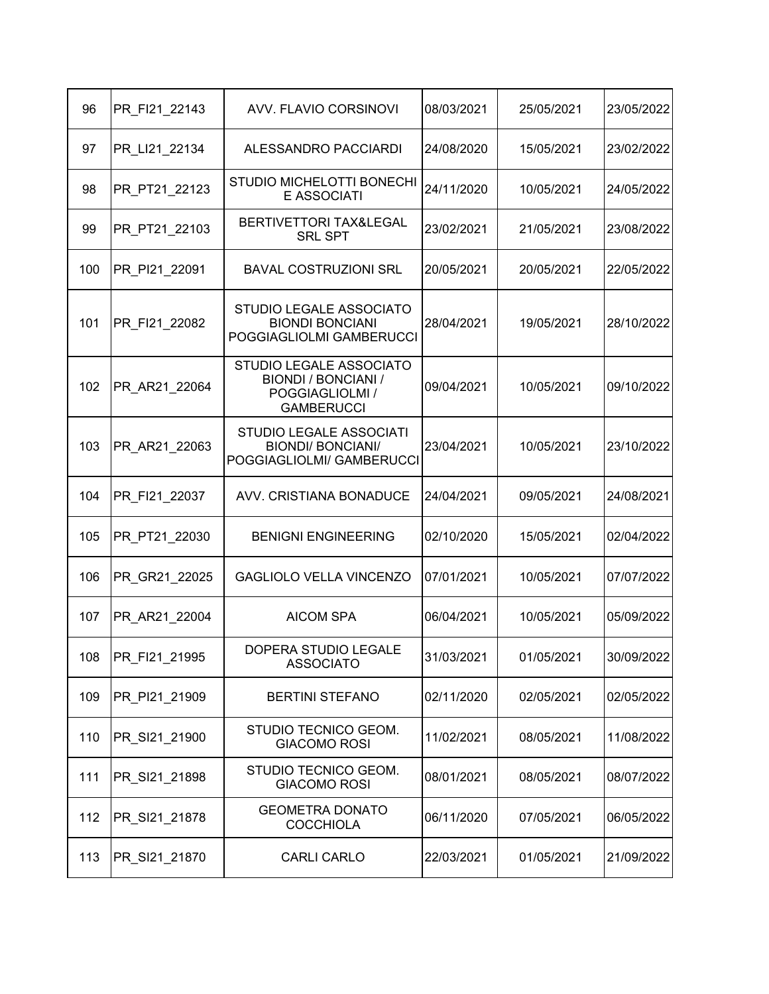| 96  | PR FI21 22143 | AVV. FLAVIO CORSINOVI                                                                         | 08/03/2021 | 25/05/2021 | 23/05/2022 |
|-----|---------------|-----------------------------------------------------------------------------------------------|------------|------------|------------|
| 97  | PR LI21 22134 | ALESSANDRO PACCIARDI                                                                          | 24/08/2020 | 15/05/2021 | 23/02/2022 |
| 98  | PR PT21 22123 | STUDIO MICHELOTTI BONECHI<br><b>E ASSOCIATI</b>                                               | 24/11/2020 | 10/05/2021 | 24/05/2022 |
| 99  | PR PT21 22103 | BERTIVETTORI TAX&LEGAL<br><b>SRL SPT</b>                                                      | 23/02/2021 | 21/05/2021 | 23/08/2022 |
| 100 | PR PI21 22091 | <b>BAVAL COSTRUZIONI SRL</b>                                                                  | 20/05/2021 | 20/05/2021 | 22/05/2022 |
| 101 | PR FI21 22082 | STUDIO LEGALE ASSOCIATO<br><b>BIONDI BONCIANI</b><br>POGGIAGLIOLMI GAMBERUCCI                 | 28/04/2021 | 19/05/2021 | 28/10/2022 |
| 102 | PR AR21 22064 | STUDIO LEGALE ASSOCIATO<br><b>BIONDI / BONCIANI /</b><br>POGGIAGLIOLMI /<br><b>GAMBERUCCI</b> | 09/04/2021 | 10/05/2021 | 09/10/2022 |
| 103 | PR AR21 22063 | STUDIO LEGALE ASSOCIATI<br><b>BIONDI/ BONCIANI/</b><br>POGGIAGLIOLMI/ GAMBERUCCI              | 23/04/2021 | 10/05/2021 | 23/10/2022 |
| 104 | PR FI21 22037 | AVV. CRISTIANA BONADUCE                                                                       | 24/04/2021 | 09/05/2021 | 24/08/2021 |
| 105 | PR_PT21_22030 | <b>BENIGNI ENGINEERING</b>                                                                    | 02/10/2020 | 15/05/2021 | 02/04/2022 |
| 106 | PR_GR21_22025 | <b>GAGLIOLO VELLA VINCENZO</b>                                                                | 07/01/2021 | 10/05/2021 | 07/07/2022 |
| 107 | PR AR21 22004 | <b>AICOM SPA</b>                                                                              | 06/04/2021 | 10/05/2021 | 05/09/2022 |
| 108 | PR_FI21_21995 | DOPERA STUDIO LEGALE<br><b>ASSOCIATO</b>                                                      | 31/03/2021 | 01/05/2021 | 30/09/2022 |
| 109 | PR PI21 21909 | <b>BERTINI STEFANO</b>                                                                        | 02/11/2020 | 02/05/2021 | 02/05/2022 |
| 110 | PR SI21 21900 | STUDIO TECNICO GEOM.<br><b>GIACOMO ROSI</b>                                                   | 11/02/2021 | 08/05/2021 | 11/08/2022 |
| 111 | PR_SI21_21898 | STUDIO TECNICO GEOM.<br><b>GIACOMO ROSI</b>                                                   | 08/01/2021 | 08/05/2021 | 08/07/2022 |
| 112 | PR_SI21_21878 | <b>GEOMETRA DONATO</b><br><b>COCCHIOLA</b>                                                    | 06/11/2020 | 07/05/2021 | 06/05/2022 |
| 113 | PR_SI21_21870 | <b>CARLI CARLO</b>                                                                            | 22/03/2021 | 01/05/2021 | 21/09/2022 |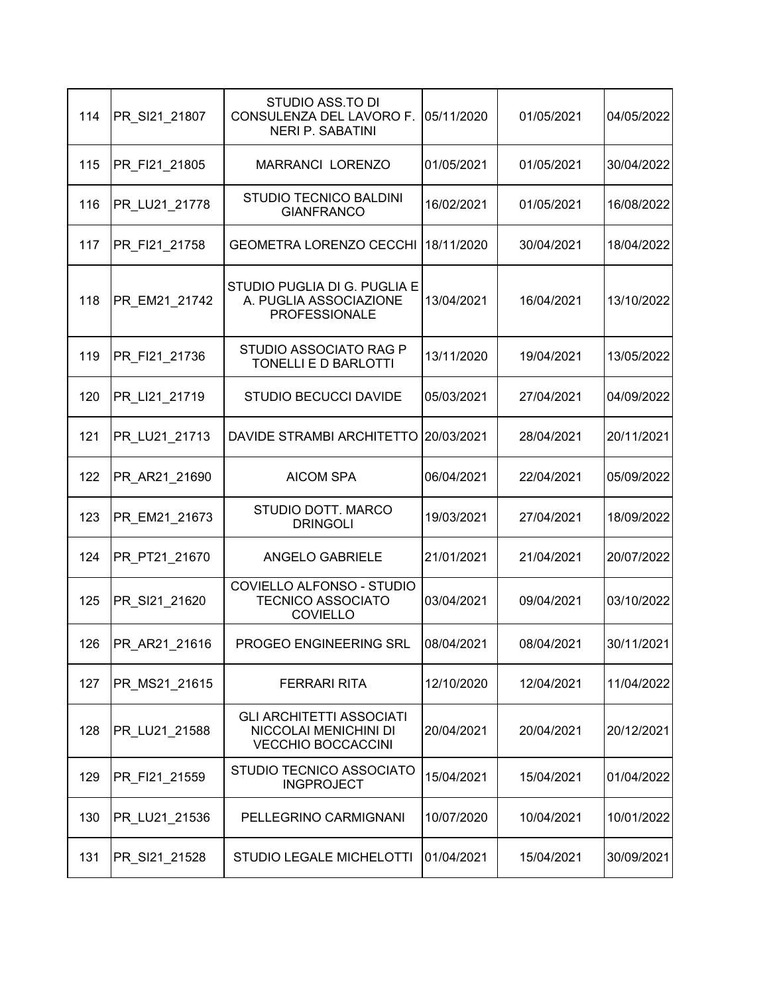| 114 | PR SI21 21807 | STUDIO ASS.TO DI<br>CONSULENZA DEL LAVORO F.<br><b>NERI P. SABATINI</b>               | 05/11/2020 | 01/05/2021 | 04/05/2022 |
|-----|---------------|---------------------------------------------------------------------------------------|------------|------------|------------|
| 115 | PR FI21 21805 | MARRANCI LORENZO                                                                      | 01/05/2021 | 01/05/2021 | 30/04/2022 |
| 116 | PR LU21 21778 | <b>STUDIO TECNICO BALDINI</b><br><b>GIANFRANCO</b>                                    | 16/02/2021 | 01/05/2021 | 16/08/2022 |
| 117 | PR_FI21_21758 | <b>GEOMETRA LORENZO CECCHI</b>                                                        | 18/11/2020 | 30/04/2021 | 18/04/2022 |
| 118 | PR EM21 21742 | STUDIO PUGLIA DI G. PUGLIA E<br>A. PUGLIA ASSOCIAZIONE<br><b>PROFESSIONALE</b>        | 13/04/2021 | 16/04/2021 | 13/10/2022 |
| 119 | PR FI21 21736 | STUDIO ASSOCIATO RAG P<br>TONELLI E D BARLOTTI                                        | 13/11/2020 | 19/04/2021 | 13/05/2022 |
| 120 | PR_LI21_21719 | <b>STUDIO BECUCCI DAVIDE</b>                                                          | 05/03/2021 | 27/04/2021 | 04/09/2022 |
| 121 | PR LU21 21713 | DAVIDE STRAMBI ARCHITETTO                                                             | 20/03/2021 | 28/04/2021 | 20/11/2021 |
| 122 | PR AR21 21690 | <b>AICOM SPA</b>                                                                      | 06/04/2021 | 22/04/2021 | 05/09/2022 |
| 123 | PR EM21 21673 | STUDIO DOTT. MARCO<br><b>DRINGOLI</b>                                                 | 19/03/2021 | 27/04/2021 | 18/09/2022 |
| 124 | PR PT21 21670 | <b>ANGELO GABRIELE</b>                                                                | 21/01/2021 | 21/04/2021 | 20/07/2022 |
| 125 | PR SI21 21620 | COVIELLO ALFONSO - STUDIO<br><b>TECNICO ASSOCIATO</b><br><b>COVIELLO</b>              | 03/04/2021 | 09/04/2021 | 03/10/2022 |
| 126 | PR AR21 21616 | <b>PROGEO ENGINEERING SRL</b>                                                         | 08/04/2021 | 08/04/2021 | 30/11/2021 |
| 127 | PR MS21_21615 | <b>FERRARI RITA</b>                                                                   | 12/10/2020 | 12/04/2021 | 11/04/2022 |
| 128 | PR LU21 21588 | <b>GLI ARCHITETTI ASSOCIATI</b><br>NICCOLAI MENICHINI DI<br><b>VECCHIO BOCCACCINI</b> | 20/04/2021 | 20/04/2021 | 20/12/2021 |
| 129 | PR_FI21_21559 | STUDIO TECNICO ASSOCIATO<br><b>INGPROJECT</b>                                         | 15/04/2021 | 15/04/2021 | 01/04/2022 |
| 130 | PR LU21 21536 | PELLEGRINO CARMIGNANI                                                                 | 10/07/2020 | 10/04/2021 | 10/01/2022 |
| 131 | PR_SI21_21528 | <b>STUDIO LEGALE MICHELOTTI</b>                                                       | 01/04/2021 | 15/04/2021 | 30/09/2021 |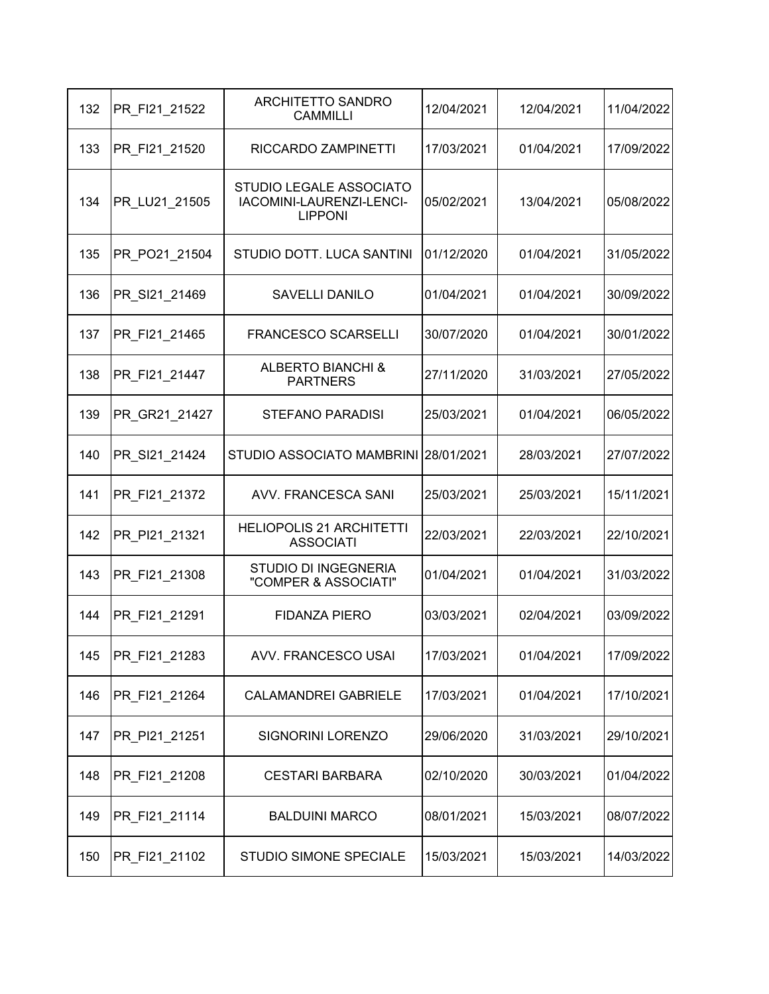| 132 | PR_FI21_21522 | ARCHITETTO SANDRO<br><b>CAMMILLI</b>                                  | 12/04/2021 | 12/04/2021 | 11/04/2022 |
|-----|---------------|-----------------------------------------------------------------------|------------|------------|------------|
| 133 | PR_FI21_21520 | RICCARDO ZAMPINETTI                                                   | 17/03/2021 | 01/04/2021 | 17/09/2022 |
| 134 | PR_LU21_21505 | STUDIO LEGALE ASSOCIATO<br>IACOMINI-LAURENZI-LENCI-<br><b>LIPPONI</b> | 05/02/2021 | 13/04/2021 | 05/08/2022 |
| 135 | PR PO21 21504 | STUDIO DOTT. LUCA SANTINI                                             | 01/12/2020 | 01/04/2021 | 31/05/2022 |
| 136 | PR_SI21_21469 | <b>SAVELLI DANILO</b>                                                 | 01/04/2021 | 01/04/2021 | 30/09/2022 |
| 137 | PR FI21 21465 | <b>FRANCESCO SCARSELLI</b>                                            | 30/07/2020 | 01/04/2021 | 30/01/2022 |
| 138 | PR FI21 21447 | <b>ALBERTO BIANCHI &amp;</b><br><b>PARTNERS</b>                       | 27/11/2020 | 31/03/2021 | 27/05/2022 |
| 139 | PR GR21 21427 | <b>STEFANO PARADISI</b>                                               | 25/03/2021 | 01/04/2021 | 06/05/2022 |
| 140 | PR SI21 21424 | STUDIO ASSOCIATO MAMBRINI 28/01/2021                                  |            | 28/03/2021 | 27/07/2022 |
| 141 | PR FI21 21372 | <b>AVV. FRANCESCA SANI</b>                                            | 25/03/2021 | 25/03/2021 | 15/11/2021 |
| 142 | PR_PI21_21321 | <b>HELIOPOLIS 21 ARCHITETTI</b><br><b>ASSOCIATI</b>                   | 22/03/2021 | 22/03/2021 | 22/10/2021 |
| 143 | PR FI21 21308 | <b>STUDIO DI INGEGNERIA</b><br>"COMPER & ASSOCIATI"                   | 01/04/2021 | 01/04/2021 | 31/03/2022 |
| 144 | PR FI21 21291 | <b>FIDANZA PIERO</b>                                                  | 03/03/2021 | 02/04/2021 | 03/09/2022 |
| 145 | PR_FI21_21283 | AVV. FRANCESCO USAI                                                   | 17/03/2021 | 01/04/2021 | 17/09/2022 |
| 146 | PR FI21 21264 | <b>CALAMANDREI GABRIELE</b>                                           | 17/03/2021 | 01/04/2021 | 17/10/2021 |
| 147 | PR_PI21_21251 | SIGNORINI LORENZO                                                     | 29/06/2020 | 31/03/2021 | 29/10/2021 |
| 148 | PR_FI21_21208 | <b>CESTARI BARBARA</b>                                                | 02/10/2020 | 30/03/2021 | 01/04/2022 |
| 149 | PR_FI21_21114 | <b>BALDUINI MARCO</b>                                                 | 08/01/2021 | 15/03/2021 | 08/07/2022 |
| 150 | PR_FI21_21102 | STUDIO SIMONE SPECIALE                                                | 15/03/2021 | 15/03/2021 | 14/03/2022 |